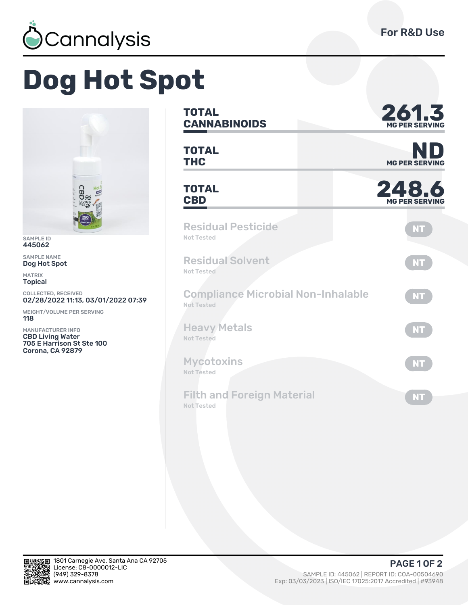

**MG PER SERVING**

**PER SERVING** 

**NT**

**NT**

**NT**

**NT**

**NT**

**NT**

**PAGE 1 OF 2** 

## **Dog Hot Spot**



SAMPLE ID 445062

SAMPLE NAME Dog Hot Spot

MATRIX Topical

COLLECTED, RECEIVED 02/28/2022 11:13, 03/01/2022 07:39

WEIGHT/VOLUME PER SERVING **118** 

MANUFACTURER INFO CBD Living Water 705 E Harrison St Ste 100 Corona, CA 92879

**TOTAL CANNABINOIDS Ǿ6ǽ.ǿ**

**TOTAL TOTAL**<br> **THC** MG PER SERVING

**TOTAL** TOTAL **248.6** 

Residual Pesticide Not Tested

Residual Solvent Not Tested

Compliance Microbial Non-Inhalable Not Tested

Heavy Metals Not Tested

**Mycotoxins** Not Tested

Filth and Foreign Material Not Tested